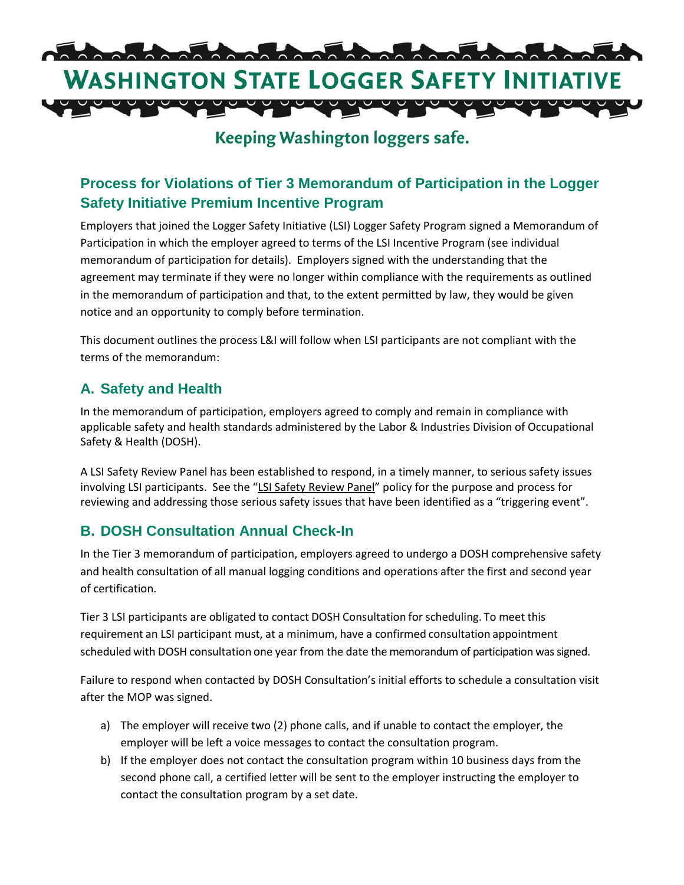

# **Keeping Washington loggers safe.**

# **Process for Violations of Tier 3 Memorandum of Participation in the Logger Safety Initiative Premium Incentive Program**

Employers that joined the Logger Safety Initiative (LSI) Logger Safety Program signed a Memorandum of Participation in which the employer agreed to terms of the LSI Incentive Program (see individual memorandum of participation for details). Employers signed with the understanding that the agreement may terminate if they were no longer within compliance with the requirements as outlined in the memorandum of participation and that, to the extent permitted by law, they would be given notice and an opportunity to comply before termination.

This document outlines the process L&I will follow when LSI participants are not compliant with the terms of the memorandum:

#### **A. Safety and Health**

In the memorandum of participation, employers agreed to comply and remain in compliance with applicable safety and health standards administered by the Labor & Industries Division of Occupational Safety & Health (DOSH).

A LSI Safety Review Panel has been established to respond, in a timely manner, to serious safety issues involving LSI participants. See the "LSI Safety Review Panel" policy for the purpose and process for reviewing and addressing those serious safety issues that have been identified as a "triggering event".

#### **B. DOSH Consultation Annual Check-In**

In the Tier 3 memorandum of participation, employers agreed to undergo a DOSH comprehensive safety and health consultation of all manual logging conditions and operations after the first and second year of certification.

Tier 3 LSI participants are obligated to contact DOSH Consultation for scheduling. To meet this requirement an LSI participant must, at a minimum, have a confirmed consultation appointment scheduled with DOSH consultation one year from the date the memorandum of participation was signed.

Failure to respond when contacted by DOSH Consultation's initial efforts to schedule a consultation visit after the MOP was signed.

- a) The employer will receive two (2) phone calls, and if unable to contact the employer, the employer will be left a voice messages to contact the consultation program.
- b) If the employer does not contact the consultation program within 10 business days from the second phone call, a certified letter will be sent to the employer instructing the employer to contact the consultation program by a set date.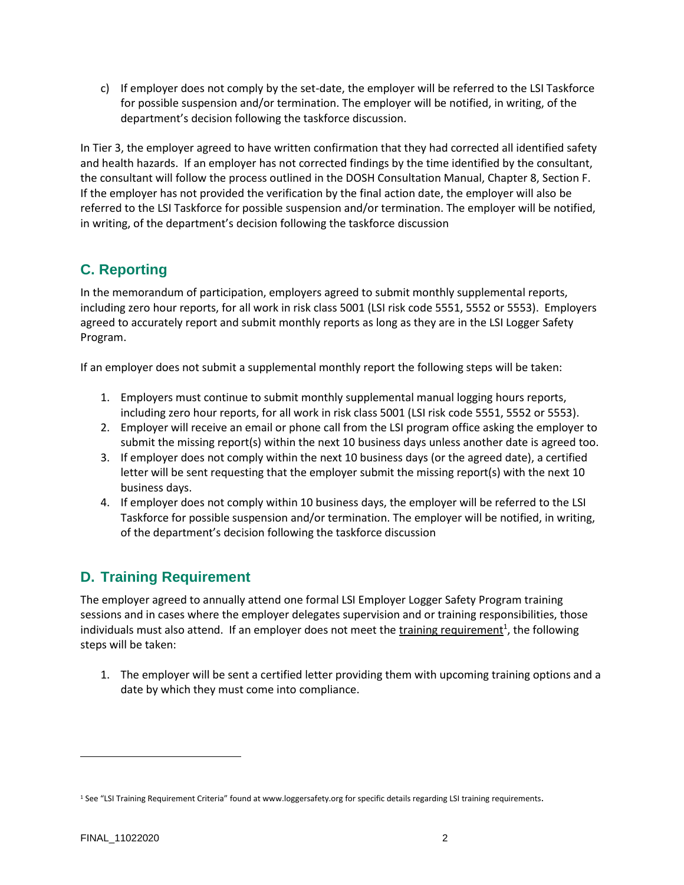c) If employer does not comply by the set-date, the employer will be referred to the LSI Taskforce for possible suspension and/or termination. The employer will be notified, in writing, of the department's decision following the taskforce discussion.

In Tier 3, the employer agreed to have written confirmation that they had corrected all identified safety and health hazards. If an employer has not corrected findings by the time identified by the consultant, the consultant will follow the process outlined in th[e DOSH Consultation Manual, Chapter 8, Section F.](http://www.lni.wa.gov/Safety/Rules/Policies/manuals/DOSHConsultationManual.pdf) If the employer has not provided the verification by the final action date, the employer will also be referred to the LSI Taskforce for possible suspension and/or termination. The employer will be notified, in writing, of the department's decision following the taskforce discussion

#### **C. Reporting**

In the memorandum of participation, employers agreed to submit monthly supplemental reports, including zero hour reports, for all work in risk class 5001 (LSI risk code 5551, 5552 or 5553). Employers agreed to accurately report and submit monthly reports as long as they are in the LSI Logger Safety Program.

If an employer does not submit a supplemental monthly report the following steps will be taken:

- 1. Employers must continue to submit monthly supplemental manual logging hours reports, including zero hour reports, for all work in risk class 5001 (LSI risk code 5551, 5552 or 5553).
- 2. Employer will receive an email or phone call from the LSI program office asking the employer to submit the missing report(s) within the next 10 business days unless another date is agreed too.
- 3. If employer does not comply within the next 10 business days (or the agreed date), a certified letter will be sent requesting that the employer submit the missing report(s) with the next 10 business days.
- 4. If employer does not comply within 10 business days, the employer will be referred to the LSI Taskforce for possible suspension and/or termination. The employer will be notified, in writing, of the department's decision following the taskforce discussion

# **D. Training Requirement**

The employer agreed to annually attend one formal LSI Employer Logger Safety Program training sessions and in cases where the employer delegates supervision and or training responsibilities, those individuals must also attend. If an employer does not meet the training requirement<sup>1</sup>, the following steps will be taken:

1. The employer will be sent a certified letter providing them with upcoming training options and a date by which they must come into compliance.

 $\overline{a}$ 

<sup>&</sup>lt;sup>1</sup> See "LSI Training Requirement Criteria" found a[t www.loggersafety.org](http://www.loggersafety.org/) for specific details regarding LSI training requirements.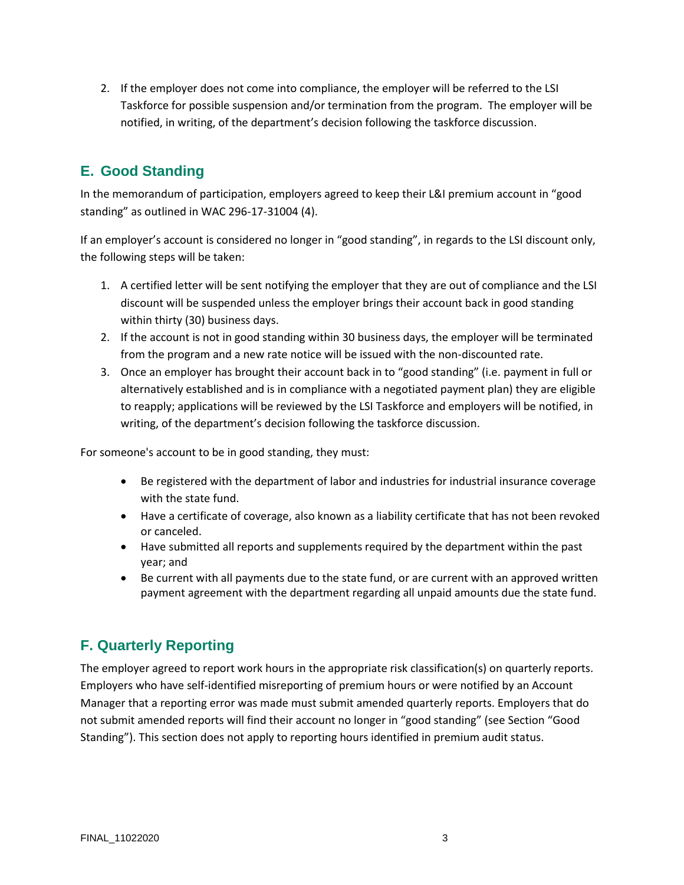2. If the employer does not come into compliance, the employer will be referred to the LSI Taskforce for possible suspension and/or termination from the program. The employer will be notified, in writing, of the department's decision following the taskforce discussion.

## **E. Good Standing**

In the memorandum of participation, employers agreed to keep their L&I premium account in "good standing" as outlined in WAC 296-17-31004 (4).

If an employer's account is considered no longer in "good standing", in regards to the LSI discount only, the following steps will be taken:

- 1. A certified letter will be sent notifying the employer that they are out of compliance and the LSI discount will be suspended unless the employer brings their account back in good standing within thirty (30) business days.
- 2. If the account is not in good standing within 30 business days, the employer will be terminated from the program and a new rate notice will be issued with the non-discounted rate.
- 3. Once an employer has brought their account back in to "good standing" (i.e. payment in full or alternatively established and is in compliance with a negotiated payment plan) they are eligible to reapply; applications will be reviewed by the LSI Taskforce and employers will be notified, in writing, of the department's decision following the taskforce discussion.

For someone's account to be in good standing, they must:

- Be registered with the department of labor and industries for industrial insurance coverage with the state fund.
- Have a certificate of coverage, also known as a liability certificate that has not been revoked or canceled.
- Have submitted all reports and supplements required by the department within the past year; and
- Be current with all payments due to the state fund, or are current with an approved written payment agreement with the department regarding all unpaid amounts due the state fund.

#### **F. Quarterly Reporting**

The employer agreed to report work hours in the appropriate risk classification(s) on quarterly reports. Employers who have self-identified misreporting of premium hours or were notified by an Account Manager that a reporting error was made must submit amended quarterly reports. Employers that do not submit amended reports will find their account no longer in "good standing" (see Section "Good Standing"). This section does not apply to reporting hours identified in premium audit status.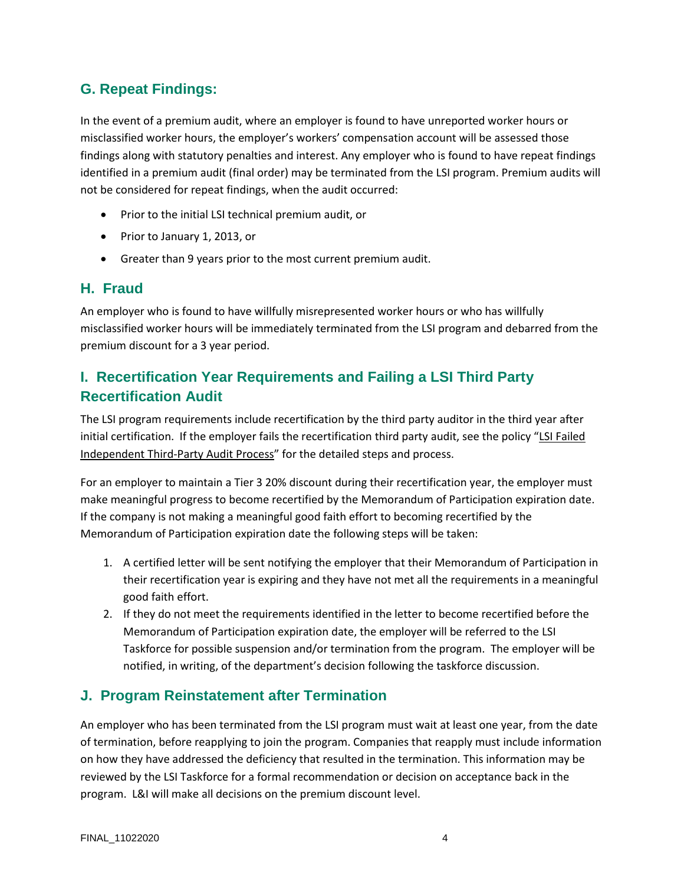#### **G. Repeat Findings:**

In the event of a premium audit, where an employer is found to have unreported worker hours or misclassified worker hours, the employer's workers' compensation account will be assessed those findings along with statutory penalties and interest. Any employer who is found to have repeat findings identified in a premium audit (final order) may be terminated from the LSI program. Premium audits will not be considered for repeat findings, when the audit occurred:

- Prior to the initial LSI technical premium audit, or
- Prior to January 1, 2013, or
- Greater than 9 years prior to the most current premium audit.

#### **H. Fraud**

An employer who is found to have willfully misrepresented worker hours or who has willfully misclassified worker hours will be immediately terminated from the LSI program and debarred from the premium discount for a 3 year period.

## **I. Recertification Year Requirements and Failing a LSI Third Party Recertification Audit**

The LSI program requirements include recertification by the third party auditor in the third year after initial certification. If the employer fails the recertification third party audit, see the policy "LSI Failed Independent Third-Party Audit Process" for the detailed steps and process.

For an employer to maintain a Tier 3 20% discount during their recertification year, the employer must make meaningful progress to become recertified by the Memorandum of Participation expiration date. If the company is not making a meaningful good faith effort to becoming recertified by the Memorandum of Participation expiration date the following steps will be taken:

- 1. A certified letter will be sent notifying the employer that their Memorandum of Participation in their recertification year is expiring and they have not met all the requirements in a meaningful good faith effort.
- 2. If they do not meet the requirements identified in the letter to become recertified before the Memorandum of Participation expiration date, the employer will be referred to the LSI Taskforce for possible suspension and/or termination from the program. The employer will be notified, in writing, of the department's decision following the taskforce discussion.

#### **J. Program Reinstatement after Termination**

An employer who has been terminated from the LSI program must wait at least one year, from the date of termination, before reapplying to join the program. Companies that reapply must include information on how they have addressed the deficiency that resulted in the termination. This information may be reviewed by the LSI Taskforce for a formal recommendation or decision on acceptance back in the program. L&I will make all decisions on the premium discount level.